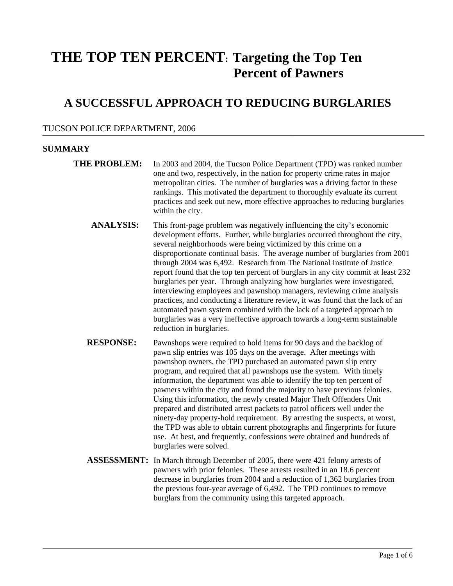# **THE TOP TEN PERCENT: Targeting the Top Ten Percent of Pawners**

# **A SUCCESSFUL APPROACH TO REDUCING BURGLARIES**

# TUCSON POLICE DEPARTMENT, 2006

# **SUMMARY**

- **THE PROBLEM:** In 2003 and 2004, the Tucson Police Department (TPD) was ranked number one and two, respectively, in the nation for property crime rates in major metropolitan cities. The number of burglaries was a driving factor in these rankings. This motivated the department to thoroughly evaluate its current practices and seek out new, more effective approaches to reducing burglaries within the city.
	- **ANALYSIS:** This front-page problem was negatively influencing the city's economic development efforts. Further, while burglaries occurred throughout the city, several neighborhoods were being victimized by this crime on a disproportionate continual basis. The average number of burglaries from 2001 through 2004 was 6,492. Research from The National Institute of Justice report found that the top ten percent of burglars in any city commit at least 232 burglaries per year. Through analyzing how burglaries were investigated, interviewing employees and pawnshop managers, reviewing crime analysis practices, and conducting a literature review, it was found that the lack of an automated pawn system combined with the lack of a targeted approach to burglaries was a very ineffective approach towards a long-term sustainable reduction in burglaries.
	- **RESPONSE:** Pawnshops were required to hold items for 90 days and the backlog of pawn slip entries was 105 days on the average. After meetings with pawnshop owners, the TPD purchased an automated pawn slip entry program, and required that all pawnshops use the system. With timely information, the department was able to identify the top ten percent of pawners within the city and found the majority to have previous felonies. Using this information, the newly created Major Theft Offenders Unit prepared and distributed arrest packets to patrol officers well under the ninety-day property-hold requirement. By arresting the suspects, at worst, the TPD was able to obtain current photographs and fingerprints for future use. At best, and frequently, confessions were obtained and hundreds of burglaries were solved.
	- **ASSESSMENT:** In March through December of 2005, there were 421 felony arrests of pawners with prior felonies. These arrests resulted in an 18.6 percent decrease in burglaries from 2004 and a reduction of 1,362 burglaries from the previous four-year average of 6,492. The TPD continues to remove burglars from the community using this targeted approach.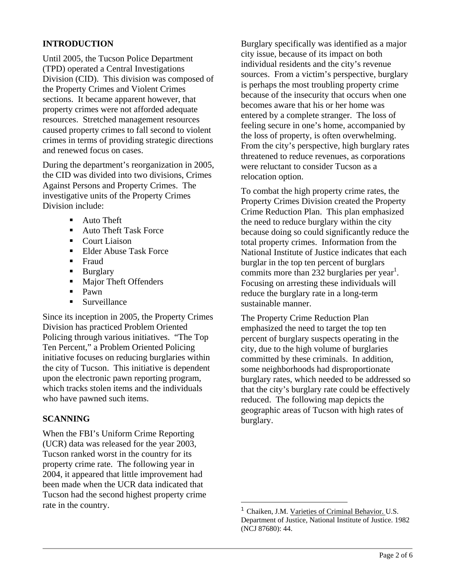# **INTRODUCTION**

Until 2005, the Tucson Police Department (TPD) operated a Central Investigations Division (CID). This division was composed of the Property Crimes and Violent Crimes sections. It became apparent however, that property crimes were not afforded adequate resources. Stretched management resources caused property crimes to fall second to violent crimes in terms of providing strategic directions and renewed focus on cases.

During the department's reorganization in 2005, the CID was divided into two divisions, Crimes Against Persons and Property Crimes. The investigative units of the Property Crimes Division include:

- Auto Theft
- **Auto Theft Task Force**
- Court Liaison
- **Elder Abuse Task Force**
- **Fraud**
- **Burglary**
- **Major Theft Offenders**
- $\blacksquare$  Pawn
- **Surveillance**

Since its inception in 2005, the Property Crimes Division has practiced Problem Oriented Policing through various initiatives. "The Top Ten Percent," a Problem Oriented Policing initiative focuses on reducing burglaries within the city of Tucson. This initiative is dependent upon the electronic pawn reporting program, which tracks stolen items and the individuals who have pawned such items.

# **SCANNING**

When the FBI's Uniform Crime Reporting (UCR) data was released for the year 2003, Tucson ranked worst in the country for its property crime rate. The following year in 2004, it appeared that little improvement had been made when the UCR data indicated that Tucson had the second highest property crime rate in the country.

Burglary specifically was identified as a major city issue, because of its impact on both individual residents and the city's revenue sources. From a victim's perspective, burglary is perhaps the most troubling property crime because of the insecurity that occurs when one becomes aware that his or her home was entered by a complete stranger. The loss of feeling secure in one's home, accompanied by the loss of property, is often overwhelming. From the city's perspective, high burglary rates threatened to reduce revenues, as corporations were reluctant to consider Tucson as a relocation option.

To combat the high property crime rates, the Property Crimes Division created the Property Crime Reduction Plan. This plan emphasized the need to reduce burglary within the city because doing so could significantly reduce the total property crimes. Information from the National Institute of Justice indicates that each burglar in the top ten percent of burglars commits more than  $232$  burglaries per year<sup>1</sup>. Focusing on arresting these individuals will reduce the burglary rate in a long-term sustainable manner.

The Property Crime Reduction Plan emphasized the need to target the top ten percent of burglary suspects operating in the city, due to the high volume of burglaries committed by these criminals. In addition, some neighborhoods had disproportionate burglary rates, which needed to be addressed so that the city's burglary rate could be effectively reduced. The following map depicts the geographic areas of Tucson with high rates of burglary.

i.

<sup>1</sup> Chaiken, J.M. Varieties of Criminal Behavior. U.S. Department of Justice, National Institute of Justice. 1982 (NCJ 87680): 44.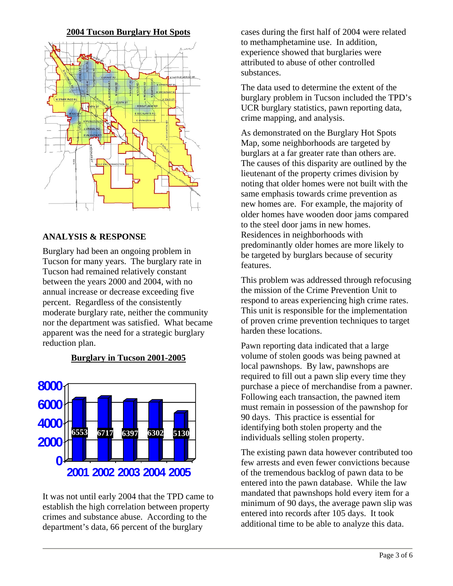#### **2004 Tucson Burglary Hot Spots**



#### **ANALYSIS & RESPONSE**

Burglary had been an ongoing problem in Tucson for many years. The burglary rate in Tucson had remained relatively constant between the years 2000 and 2004, with no annual increase or decrease exceeding five percent. Regardless of the consistently moderate burglary rate, neither the community nor the department was satisfied. What became apparent was the need for a strategic burglary reduction plan.

# **Burglary in Tucson 2001-2005**



It was not until early 2004 that the TPD came to establish the high correlation between property crimes and substance abuse. According to the department's data, 66 percent of the burglary

cases during the first half of 2004 were related to methamphetamine use. In addition, experience showed that burglaries were attributed to abuse of other controlled substances.

The data used to determine the extent of the burglary problem in Tucson included the TPD's UCR burglary statistics, pawn reporting data, crime mapping, and analysis.

As demonstrated on the Burglary Hot Spots Map, some neighborhoods are targeted by burglars at a far greater rate than others are. The causes of this disparity are outlined by the lieutenant of the property crimes division by noting that older homes were not built with the same emphasis towards crime prevention as new homes are. For example, the majority of older homes have wooden door jams compared to the steel door jams in new homes. Residences in neighborhoods with predominantly older homes are more likely to be targeted by burglars because of security features.

This problem was addressed through refocusing the mission of the Crime Prevention Unit to respond to areas experiencing high crime rates. This unit is responsible for the implementation of proven crime prevention techniques to target harden these locations.

Pawn reporting data indicated that a large volume of stolen goods was being pawned at local pawnshops. By law, pawnshops are required to fill out a pawn slip every time they purchase a piece of merchandise from a pawner. Following each transaction, the pawned item must remain in possession of the pawnshop for 90 days. This practice is essential for identifying both stolen property and the individuals selling stolen property.

The existing pawn data however contributed too few arrests and even fewer convictions because of the tremendous backlog of pawn data to be entered into the pawn database. While the law mandated that pawnshops hold every item for a minimum of 90 days, the average pawn slip was entered into records after 105 days. It took additional time to be able to analyze this data.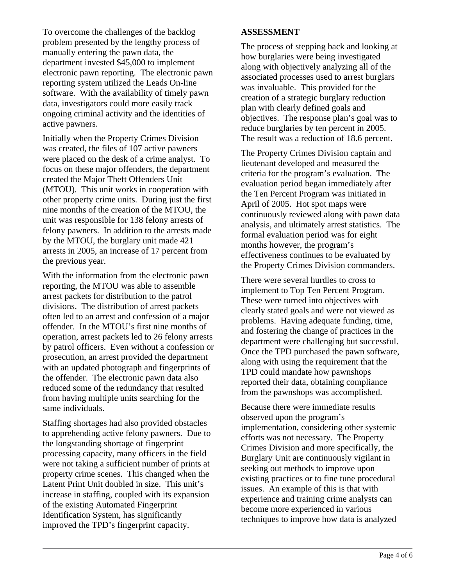To overcome the challenges of the backlog problem presented by the lengthy process of manually entering the pawn data, the department invested \$45,000 to implement electronic pawn reporting. The electronic pawn reporting system utilized the Leads On-line software. With the availability of timely pawn data, investigators could more easily track ongoing criminal activity and the identities of active pawners.

Initially when the Property Crimes Division was created, the files of 107 active pawners were placed on the desk of a crime analyst. To focus on these major offenders, the department created the Major Theft Offenders Unit (MTOU). This unit works in cooperation with other property crime units. During just the first nine months of the creation of the MTOU, the unit was responsible for 138 felony arrests of felony pawners. In addition to the arrests made by the MTOU, the burglary unit made 421 arrests in 2005, an increase of 17 percent from the previous year.

With the information from the electronic pawn reporting, the MTOU was able to assemble arrest packets for distribution to the patrol divisions. The distribution of arrest packets often led to an arrest and confession of a major offender. In the MTOU's first nine months of operation, arrest packets led to 26 felony arrests by patrol officers. Even without a confession or prosecution, an arrest provided the department with an updated photograph and fingerprints of the offender. The electronic pawn data also reduced some of the redundancy that resulted from having multiple units searching for the same individuals.

Staffing shortages had also provided obstacles to apprehending active felony pawners. Due to the longstanding shortage of fingerprint processing capacity, many officers in the field were not taking a sufficient number of prints at property crime scenes. This changed when the Latent Print Unit doubled in size. This unit's increase in staffing, coupled with its expansion of the existing Automated Fingerprint Identification System, has significantly improved the TPD's fingerprint capacity.

# **ASSESSMENT**

The process of stepping back and looking at how burglaries were being investigated along with objectively analyzing all of the associated processes used to arrest burglars was invaluable. This provided for the creation of a strategic burglary reduction plan with clearly defined goals and objectives. The response plan's goal was to reduce burglaries by ten percent in 2005. The result was a reduction of 18.6 percent.

The Property Crimes Division captain and lieutenant developed and measured the criteria for the program's evaluation. The evaluation period began immediately after the Ten Percent Program was initiated in April of 2005. Hot spot maps were continuously reviewed along with pawn data analysis, and ultimately arrest statistics. The formal evaluation period was for eight months however, the program's effectiveness continues to be evaluated by the Property Crimes Division commanders.

There were several hurdles to cross to implement to Top Ten Percent Program. These were turned into objectives with clearly stated goals and were not viewed as problems. Having adequate funding, time, and fostering the change of practices in the department were challenging but successful. Once the TPD purchased the pawn software, along with using the requirement that the TPD could mandate how pawnshops reported their data, obtaining compliance from the pawnshops was accomplished.

Because there were immediate results observed upon the program's implementation, considering other systemic efforts was not necessary. The Property Crimes Division and more specifically, the Burglary Unit are continuously vigilant in seeking out methods to improve upon existing practices or to fine tune procedural issues. An example of this is that with experience and training crime analysts can become more experienced in various techniques to improve how data is analyzed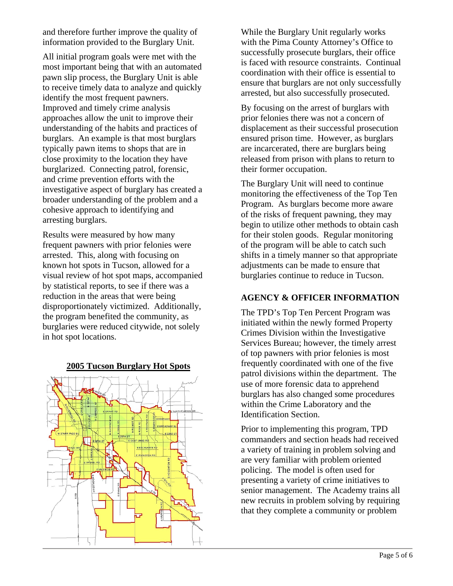and therefore further improve the quality of information provided to the Burglary Unit.

All initial program goals were met with the most important being that with an automated pawn slip process, the Burglary Unit is able to receive timely data to analyze and quickly identify the most frequent pawners. Improved and timely crime analysis approaches allow the unit to improve their understanding of the habits and practices of burglars. An example is that most burglars typically pawn items to shops that are in close proximity to the location they have burglarized. Connecting patrol, forensic, and crime prevention efforts with the investigative aspect of burglary has created a broader understanding of the problem and a cohesive approach to identifying and arresting burglars.

Results were measured by how many frequent pawners with prior felonies were arrested. This, along with focusing on known hot spots in Tucson, allowed for a visual review of hot spot maps, accompanied by statistical reports, to see if there was a reduction in the areas that were being disproportionately victimized. Additionally, the program benefited the community, as burglaries were reduced citywide, not solely in hot spot locations.

#### **2005 Tucson Burglary Hot Spots**



While the Burglary Unit regularly works with the Pima County Attorney's Office to successfully prosecute burglars, their office is faced with resource constraints. Continual coordination with their office is essential to ensure that burglars are not only successfully arrested, but also successfully prosecuted.

By focusing on the arrest of burglars with prior felonies there was not a concern of displacement as their successful prosecution ensured prison time. However, as burglars are incarcerated, there are burglars being released from prison with plans to return to their former occupation.

The Burglary Unit will need to continue monitoring the effectiveness of the Top Ten Program. As burglars become more aware of the risks of frequent pawning, they may begin to utilize other methods to obtain cash for their stolen goods. Regular monitoring of the program will be able to catch such shifts in a timely manner so that appropriate adjustments can be made to ensure that burglaries continue to reduce in Tucson.

# **AGENCY & OFFICER INFORMATION**

The TPD's Top Ten Percent Program was initiated within the newly formed Property Crimes Division within the Investigative Services Bureau; however, the timely arrest of top pawners with prior felonies is most frequently coordinated with one of the five patrol divisions within the department. The use of more forensic data to apprehend burglars has also changed some procedures within the Crime Laboratory and the Identification Section.

Prior to implementing this program, TPD commanders and section heads had received a variety of training in problem solving and are very familiar with problem oriented policing. The model is often used for presenting a variety of crime initiatives to senior management. The Academy trains all new recruits in problem solving by requiring that they complete a community or problem